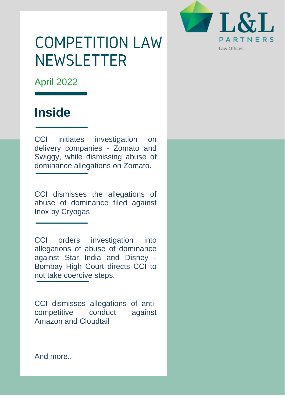

# **COMPETITION LAW NEWSLETTER**

April 2022

# **Inside**

CCI initiates investigation on delivery companies - Zomato and Swiggy, while dismissing abuse of dominance allegations on Zomato.

CCI dismisses the allegations of abuse of dominance filed against Inox by Cryogas

CCI orders investigation into allegations of abuse of dominance against Star India and Disney - Bombay High Court directs CCI to not take coercive steps.

CCI dismisses allegations of anticompetitive conduct against Amazon and Cloudtail

And more..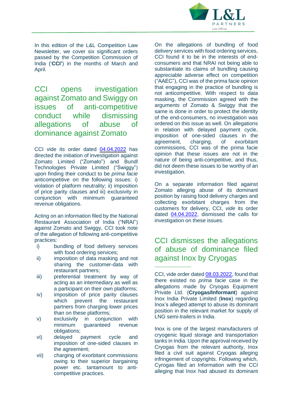

In this edition of the L&L Competition Law Newsletter, we cover six significant orders passed by the Competition Commission of India ('**CCI'**) in the months of March and April.

CCI opens investigation against Zomato and Swiggy on issues of anti-competitive conduct while dismissing allegations of abuse of dominance against Zomato

CCI vide its order dated [04.04.2022](https://www.cci.gov.in/sites/default/files/16-of-2021.pdf) has directed the initiation of investigation against Zomato Limited ("Zomato") and Bundl Technologies Private Limited ("Swiggy") upon finding their conduct to be *prima facie* anticompetitive on the following issues: i) violation of platform neutrality; ii) imposition of price parity clauses and iii) exclusivity in conjunction with minimum guaranteed revenue obligations.

Acting on an information filed by the National Restaurant Association of India ("NRAI") against Zomato and Swiggy, CCI took note of the allegation of following anti-competitive practices:

- i) bundling of food delivery services with food ordering services;
- ii) imposition of data masking and not sharing the customer-data with restaurant partners;
- iii) preferential treatment by way of acting as an intermediary as well as a participant on their own platforms;
- iv) imposition of price parity clauses which prevent the restaurant partners from charging lower prices than on these platforms;
- v) exclusivity in conjunction with minimum guaranteed revenue obligations;
- vi) delayed payment cycle and imposition of one-sided clauses in the agreement;
- vii) charging of exorbitant commissions owing to their superior bargaining power etc. tantamount to anticompetitive practices.

On the allegations of bundling of food delivery services with food ordering services, CCI found it to be in the interests of endconsumers and that NRAI not being able to substantiate its claims of bundling causing appreciable adverse effect on competition ("AAEC"), CCI was of the prima facie opinion that engaging in the practice of bundling is not anticompetitive. With respect to data masking, the Commission agreed with the arguments of Zomato & Swiggy that the same is done in order to protect the identity of the end-consumers, no investigation was ordered on this issue as well. On allegations in relation with delayed payment cycle, imposition of one-sided clauses in the agreement, charging, of exorbitant commissions, CCI was of the prima facie opinion that these issues are not in the nature of being anti-competitive, and thus, did not deem these issues to be worthy of an investigation.

On a separate information filed against Zomato alleging abuse of its dominant position by raising food delivery charges and collecting exorbitant charges from the customers for delivery, CCI, *vide* its order dated [04.04.2022,](https://www.cci.gov.in/sites/default/files/54-of-2020.pdf) dismissed the calls for investigation on these issues.

### CCI dismisses the allegations of abuse of dominance filed against Inox by Cryogas

CCI, vide order dated 08.03.2022, found that there existed no *prima facie* case in the allegations made by Cryogas Equipment Private Ltd. (**Cryogas/Informant**) against Inox India Private Limited (**Inox**) regarding Inox's alleged attempt to abuse its dominant position in the relevant market for supply of LNG semi-trailers in India.

Inox is one of the largest manufacturers of cryogenic liquid storage and transportation tanks in India. Upon the approval received by Cryogas from the relevant authority, Inox filed a civil suit against Cryogas alleging infringement of copyrights. Following which, Cyrogas filed an Information with the CCI alleging that Inox had abused its dominant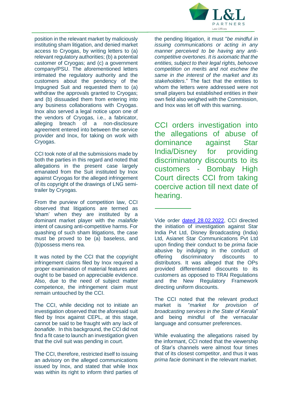

position in the relevant market by maliciously instituting sham litigation, and denied market access to Cryogas, by writing letters to (a) relevant regulatory authorities; (b) a potential customer of Cryogas; and (c) a government company/PSU. The aforementioned letters intimated the regulatory authority and the customers about the pendency of the Impugned Suit and requested them to (a) withdraw the approvals granted to Cryogas; and (b) dissuaded them from entering into any business collaborations with Cryogas. Inox also served a legal notice upon one of the vendors of Cryogas, i.e., a fabricator, alleging breach of a non-disclosure agreement entered into between the service provider and Inox, for taking on work with Cryogas.

CCI took note of all the submissions made by both the parties in this regard and noted that allegations in the present case largely emanated from the Suit instituted by Inox against Cryogas for the alleged infringement of its copyright of the drawings of LNG semitrailer by Cryogas.

From the purview of competition law, CCI observed that litigations are termed as 'sham' when they are instituted by a dominant market player with the *malafide* intent of causing anti-competitive harms. For quashing of such sham litigations, the case must be proved to be (a) baseless, and (b)possess mens rea.

It was noted by the CCI that the copyright infringement claims filed by Inox required a proper examination of material features and ought to be based on appreciable evidence. Also, due to the need of subject matter competence, the infringement claim must remain untouched by the CCI.

The CCI, while deciding not to initiate an investigation observed that the aforesaid suit filed by Inox against CEPL, at this stage, cannot be said to be fraught with any lack of *bonafide*. In this background, the CCI did not find a fit case to launch an investigation given that the civil suit was pending in court.

The CCI, therefore, restricted itself to issuing an advisory on the alleged communications issued by Inox, and stated that while Inox was within its right to inform third parties of the pending litigation, it must "*be mindful in issuing communications or acting in any manner perceived to be having any anticompetitive overtones. It is axiomatic that the entities, subject to their legal rights, behoove competition on merits and not eschew the same in the interest of the market and its stakeholders*." The fact that the entities to whom the letters were addressed were not small players but established entities in their own field also weighed with the Commission, and Inox was let off with this warning.

CCI orders investigation into the allegations of abuse of dominance against Star India/Disney for providing discriminatory discounts to its customers - Bombay High Court directs CCI from taking coercive action till next date of hearing.

Vide order dated 28.02.2022, CCI directed the initiation of investigation against Star India Pvt Ltd, Disney Broadcasting (India) Ltd, Asianet Star Communications Pvt Ltd upon finding their conduct to be *prima facie* abusive by indulging in the conduct of offering discriminatory discounts to distributors. It was alleged that the OPs provided differentiated discounts to its customers as opposed to TRAI Regulations and the New Regulatory Framework directing uniform discounts.

The CCI noted that the relevant product market is "*market for provision of broadcasting services in the State of Kerala*" and being mindful of the vernacular language and consumer preferences.

While evaluating the allegations raised by the informant, CCI noted that the viewership of Star's channels were almost four times that of its closest competitor, and thus it was *prima facie* dominant in the relevant market.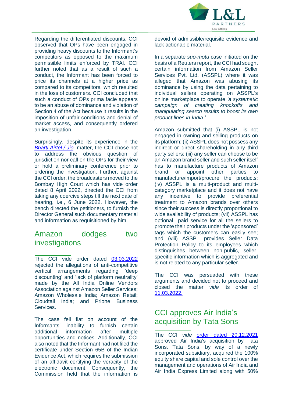

Regarding the differentiated discounts, CCI observed that OPs have been engaged in providing heavy discounts to the Informant's competitors as opposed to the maximum permissible limits enforced by TRAI. CCI further noted that as a result of such a conduct, the Informant has been forced to price its channels at a higher price as compared to its competitors, which resulted in the loss of customers. CCI concluded that such a conduct of OPs prima facie appears to be an abuse of dominance and violation of Section 4 of the Act because it results in the imposition of unfair conditions and denial of market access, and consequently ordered an investigation.

Surprisingly, despite its experience in the *[Bharti](https://main.sci.gov.in/supremecourt/2017/40072/40072_2017_Judgement_05-Dec-2018.pdf) Airtel / Jio* matter, the CCI chose not to address the obvious question of jurisdiction nor call on the OPs for their view or hold a preliminary conference prior to ordering the investigation. Further, against the CCI order, the broadcasters moved to the Bombay High Court which has vide order dated 8 April 2022, directed the CCI from taking any coercive steps till the next date of hearing, i.e., 6 June 2022. However, the bench directed the petitioners, to furnish the Director General such documentary material and information as requisitioned by him.

#### Amazon dodges two investigations

The CCI vide order dated [03.03.2022](https://www.cci.gov.in/sites/default/files/29-of-2020.pdf) rejected the allegations of anti-competitive vertical arrangements regarding 'deep discounting' and 'lack of platform neutrality' made by the All India Online Vendors Association against Amazon Seller Services; Amazon Wholesale India; Amazon Retail; Cloudtail India; and Prione Business Services.

The case fell flat on account of the Informants' inability to furnish certain additional information after multiple opportunities and notices. Additionally, CCI also noted that the Informant had not filed the certificate under Section 65B of the Indian Evidence Act, which requires the submission of an affidavit certifying the veracity of the electronic document. Consequently, the Commission held that the information is

devoid of admissible/requisite evidence and lack actionable material.

In a separate *suo-motu* case initiated on the basis of a Reuters report, the CCI had sought certain information from Amazon Seller Services Pvt. Ltd. (ASSPL) where it was alleged that Amazon was abusing its dominance by using the data pertaining to individual sellers operating on ASSPL's online marketplace to operate *'a systematic campaign of creating knockoffs and manipulating search results to boost its own product lines in India.'*

Amazon submitted that (i) ASSPL is not engaged in owning and selling products on its platform; (ii) ASSPL does not possess any indirect or direct shareholding in any third party sellers; (iii) any seller can choose to be an Amazon brand seller and such seller itself has to manufacture products of Amazon brand or appoint other parties to manufacture/import/procure the products; (iv) ASSPL is a multi-product and multicategory marketplace and it does not have any incentive to provide preferential treatment to Amazon brands over others since their success is directly proportional to wide availability of products; (vii) ASSPL has optional paid service for all the sellers to promote their products under the 'sponsored' tags which the customers can easily see; and (viii) ASSPL provides Seller Data Protection Policy to its employees which distinguishes between non-public, sellerspecific information which is aggregated and is not related to any particular seller.

The CCI was persuaded with these arguments and decided not to proceed and closed the matter *vide* its order of [11.03.2022.](https://www.cci.gov.in/sites/default/files/SMCaseNo-04-of-2021.pdf)

#### CCI approves Air India's acquisition by Tata Sons

The CCI *vide* order dated [20.12.2021](https://www.cci.gov.in/sites/default/files/Notice_order_document/Order-883.pdf) approved Air India's acquisition by Tata Sons. Tata Sons, by way of a newly incorporated subsidiary, acquired the 100% equity share capital and sole control over the management and operations of Air India and Air India Express Limited along with 50%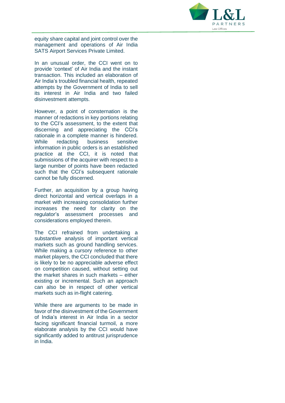

equity share capital and joint control over the management and operations of Air India SATS Airport Services Private Limited.

In an unusual order, the CCI went on to provide 'context' of Air India and the instant transaction. This included an elaboration of Air India's troubled financial health, repeated attempts by the Government of India to sell its interest in Air India and two failed disinvestment attempts.

However, a point of consternation is the manner of redactions in key portions relating to the CCI's assessment, to the extent that discerning and appreciating the CCI's rationale in a complete manner is hindered. While redacting business sensitive information in public orders is an established practice at the CCI, it is noted that submissions of the acquirer with respect to a large number of points have been redacted such that the CCI's subsequent rationale cannot be fully discerned.

Further, an acquisition by a group having direct horizontal and vertical overlaps in a market with increasing consolidation further increases the need for clarity on the regulator's assessment processes and considerations employed therein.

The CCI refrained from undertaking a substantive analysis of important vertical markets such as ground handling services. While making a cursory reference to other market players, the CCI concluded that there is likely to be no appreciable adverse effect on competition caused, without setting out the market shares in such markets – either existing or incremental. Such an approach can also be in respect of other vertical markets such as in-flight catering.

While there are arguments to be made in favor of the disinvestment of the Government of India's interest in Air India in a sector facing significant financial turmoil, a more elaborate analysis by the CCI would have significantly added to antitrust jurisprudence in India.